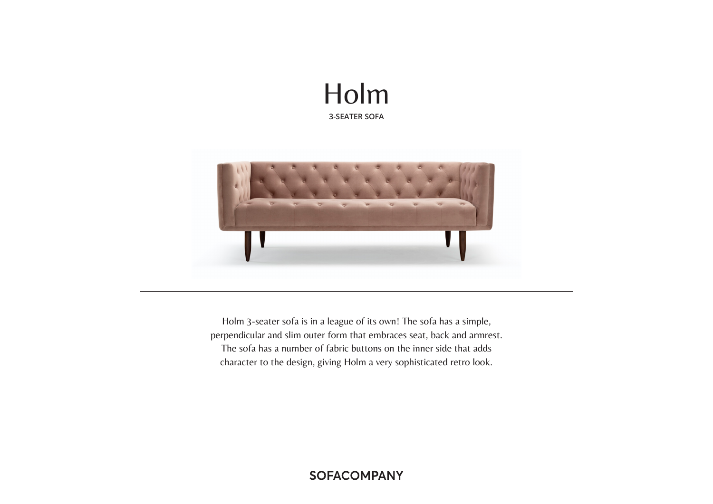# Holm **3-SEATER SOFA**



Holm 3-seater sofa is in a league of its own! The sofa has a simple, perpendicular and slim outer form that embraces seat, back and armrest. The sofa has a number of fabric buttons on the inner side that adds character to the design, giving Holm a very sophisticated retro look.

## **SOFACOMPANY**